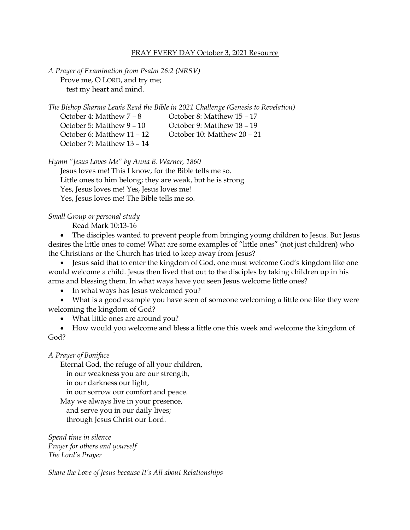## PRAY EVERY DAY October 3, 2021 Resource

*A Prayer of Examination from Psalm 26:2 (NRSV)* Prove me, O LORD, and try me; test my heart and mind.

*The Bishop Sharma Lewis Read the Bible in 2021 Challenge (Genesis to Revelation)*

October 4: Matthew 7 – 8 October 8: Matthew 15 – 17 October 5: Matthew 9 – 10 October 9: Matthew 18 – 19 October 6: Matthew 11 – 12 October 10: Matthew 20 – 21 October 7: Matthew 13 – 14

*Hymn "Jesus Loves Me" by Anna B. Warner, 1860*

Jesus loves me! This I know, for the Bible tells me so. Little ones to him belong; they are weak, but he is strong Yes, Jesus loves me! Yes, Jesus loves me! Yes, Jesus loves me! The Bible tells me so.

## *Small Group or personal study*

Read Mark 10:13-16

• The disciples wanted to prevent people from bringing young children to Jesus. But Jesus desires the little ones to come! What are some examples of "little ones" (not just children) who the Christians or the Church has tried to keep away from Jesus?

• Jesus said that to enter the kingdom of God, one must welcome God's kingdom like one would welcome a child. Jesus then lived that out to the disciples by taking children up in his arms and blessing them. In what ways have you seen Jesus welcome little ones?

• In what ways has Jesus welcomed you?

• What is a good example you have seen of someone welcoming a little one like they were welcoming the kingdom of God?

• What little ones are around you?

• How would you welcome and bless a little one this week and welcome the kingdom of God?

## *A Prayer of Boniface*

Eternal God, the refuge of all your children,

in our weakness you are our strength,

in our darkness our light,

in our sorrow our comfort and peace.

May we always live in your presence,

and serve you in our daily lives;

through Jesus Christ our Lord.

*Spend time in silence Prayer for others and yourself The Lord's Prayer*

*Share the Love of Jesus because It's All about Relationships*